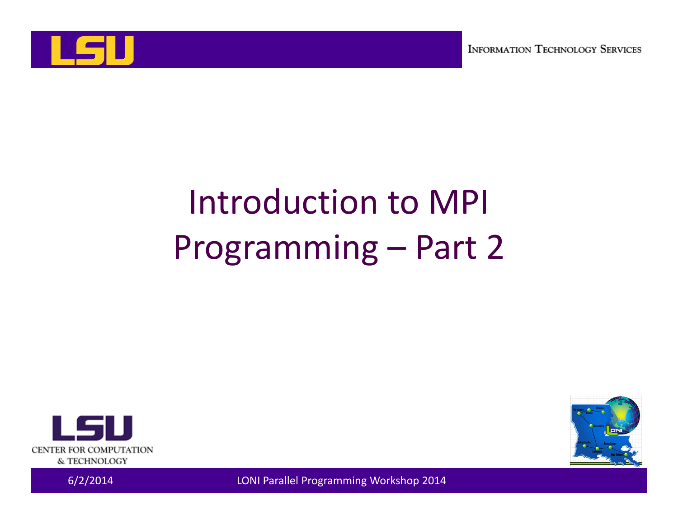

# Introduction to MPI Programming – Part 2



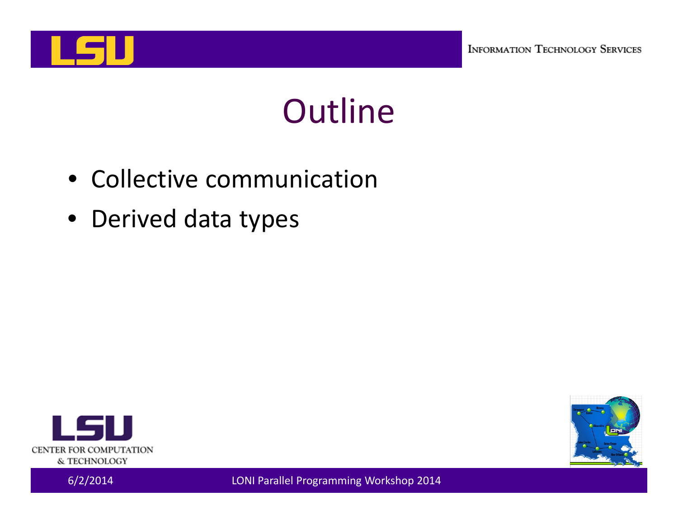

### Outline

- Collective communication
- Derived data types



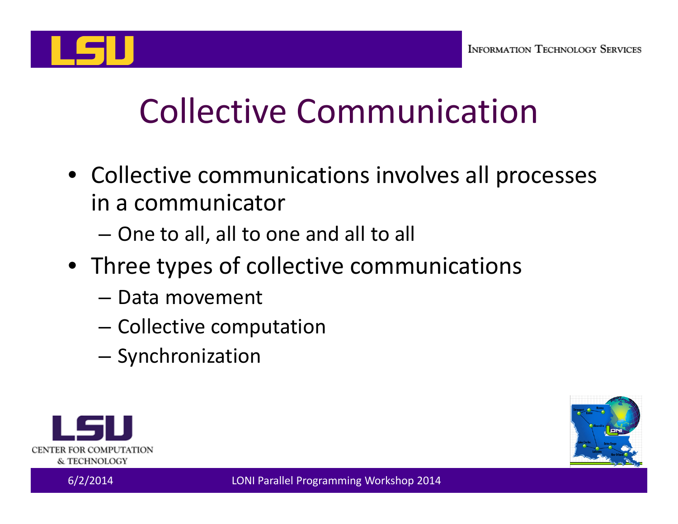

# Collective Communication

- Collective communications involves all processes in a communicator
	- –One to all, all to one and all to all
- Three types of collective communications
	- Data movement
	- – $-$  Collective computation
	- –**-** Synchronization



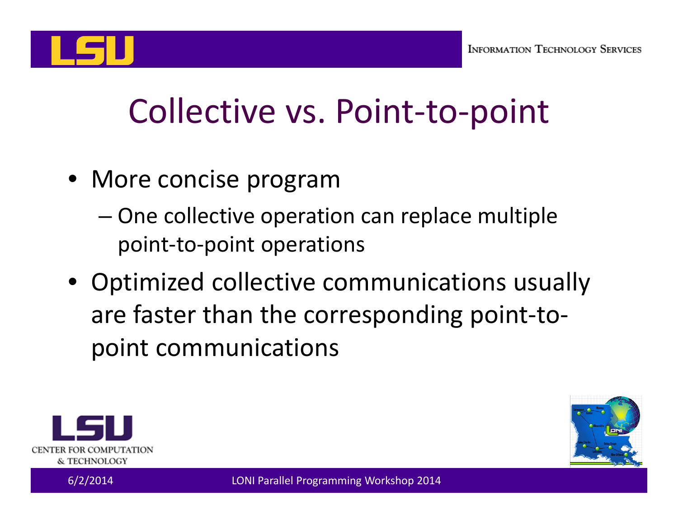

# Collective vs. Point‐to‐point

- More concise program
	- – One collective operation can replace multiple point‐to‐point operations
- Optimized collective communications usually are faster than the corresponding point‐to‐ point communications



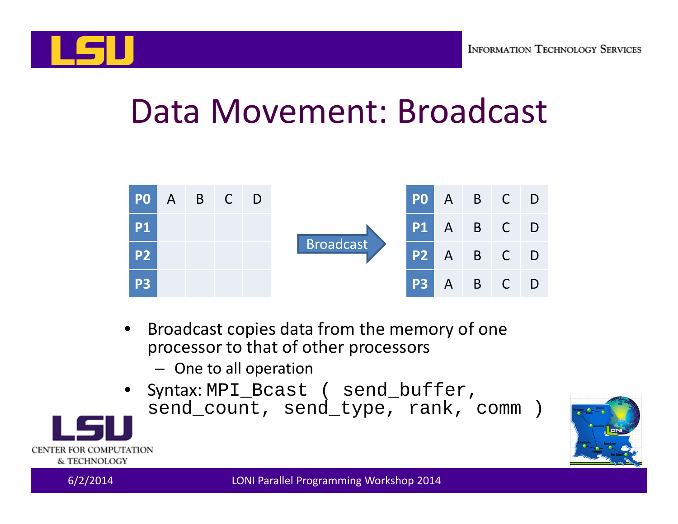

#### Data Movement: Broadcast



- • Broadcast copies data from the memory of one processor to that of other processors
	- One to all operation
- $\bullet$  Syntax: MPI\_Bcast ( send\_buffer, send\_count, send\_type, rank, comm )



CENTER FOR COMPUTATION & TECHNOLOGY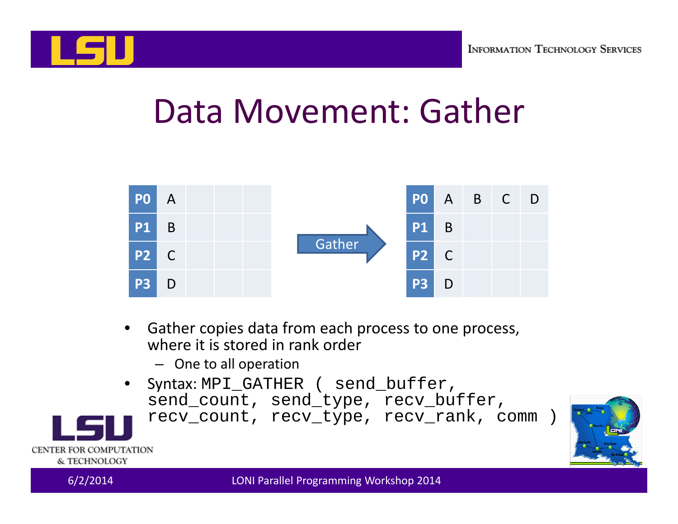

#### Data Movement: Gather



- • Gather copies data from each process to one process, where it is stored in rank order
	- One to all operation
- •Syntax: MPI\_GATHER ( send\_buffer, send\_count, send\_type, recv\_buffer,

recv\_count, recv\_type, recv\_rank, comm )



CENTER FOR COMPUTATION & TECHNOLOGY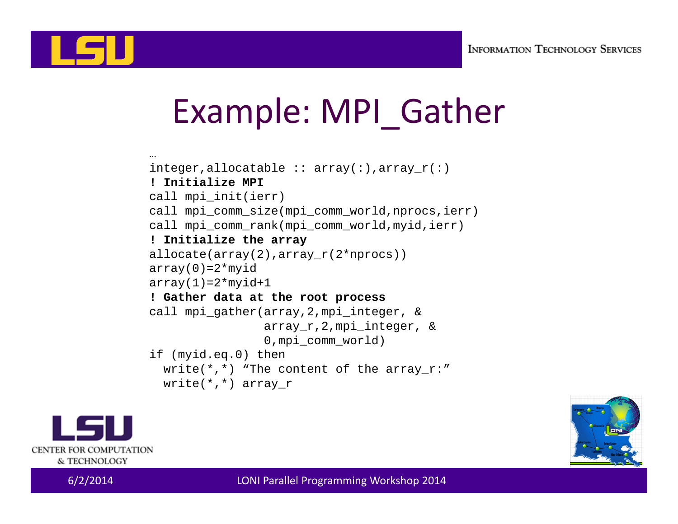

# Example: MPI\_Gather

```
…integer, all ocatable :: array(:), array(r):! Initialize MPIcall mpi_init(ierr)
call mpi_comm_size(mpi_comm_world,nprocs,ierr)
call mpi_comm_rank(mpi_comm_world,myid,ierr)
! Initialize the array
allocate(array(2), array r(2*nprocs))
array(0)=2*myidarray(1)=2*myid+1! Gather data at the root process
call mpi_gather(array,2,mpi_integer, &
                array_r,2,mpi_integer, &
                0, mpi comm world)
if (myid.eq.0) then
  write(*,*) "The content of the array r:''write(*,*) array r
```


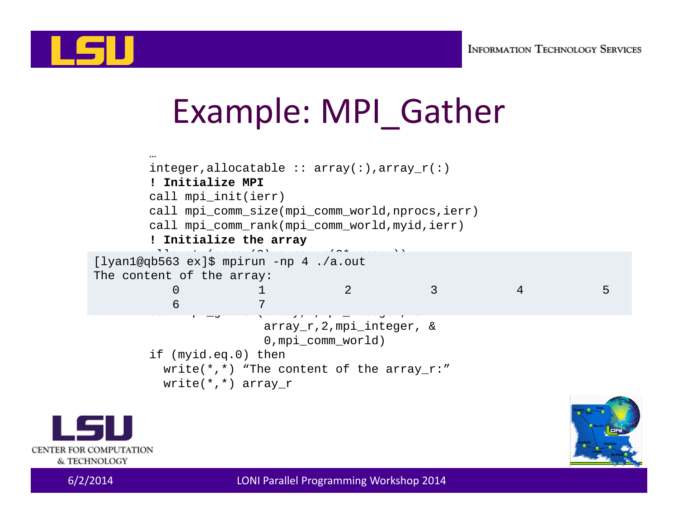

# Example: MPI\_Gather

```
…integer,allocatable :: array(:),array r(:)! Initialize MPIcall mpi_init(ierr)
       call mpi_comm_size(mpi_comm_world,nprocs,ierr)
       call mpi_comm_rank(mpi_comm_world,myid,ierr)
        ! Initialize the array
alian<br>[lyan1@qb563 ex]$ mpirun -np 4 ./a.out
        \frac{1}{2}\frac{1}{2}! Gather data at the root process
        call models are called the called the called the called term of the called term of the called term of the call
                       array_r,2,mpi_integer, &
                        0, mpi comm world)
       if (myid.eq.0) then
         write(*,*) "The content of the array r:''write(*,*) array_r
The content of the array:
           0 and 1 2 3 3 4 5
           6
```


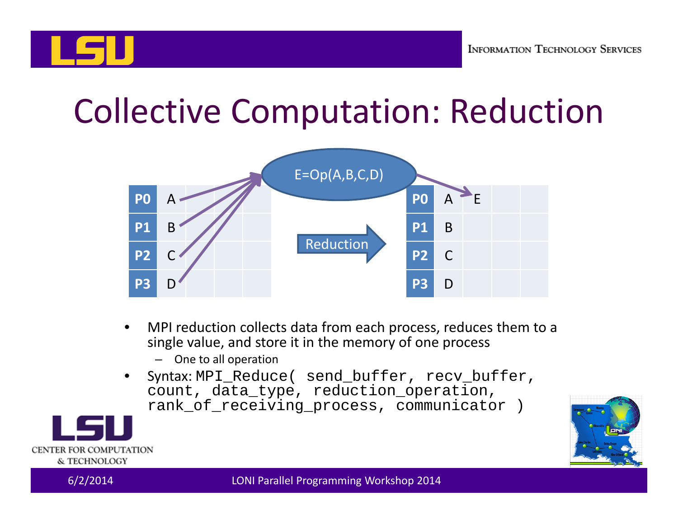

#### Collective Computation: Reduction



- • MPI reduction collects data from each process, reduces them to <sup>a</sup> single value, and store it in the memory of one process
	- One to all operation
- • Syntax: MPI\_Reduce( send\_buffer, recv\_buffer, count, data\_type, reduction\_operation, rank of receiving process, communicator )



CENTER FOR COMPUTATION & TECHNOLOGY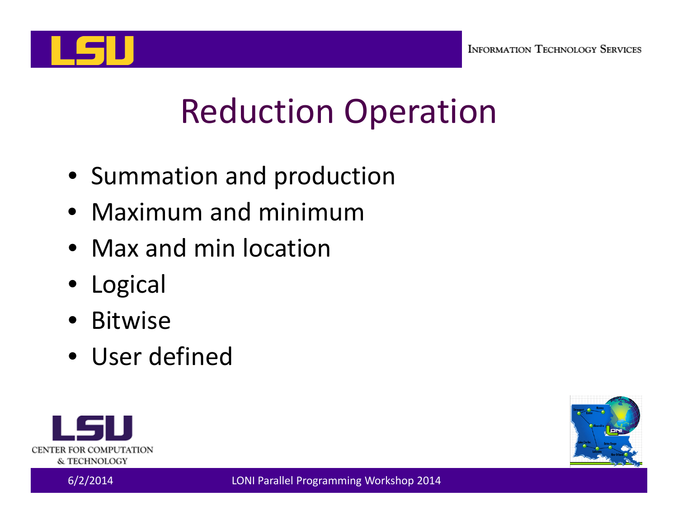

# Reduction Operation

- Summation and production
- Maximum and minimum
- Max and min location
- Logical
- Bitwise
- User defined



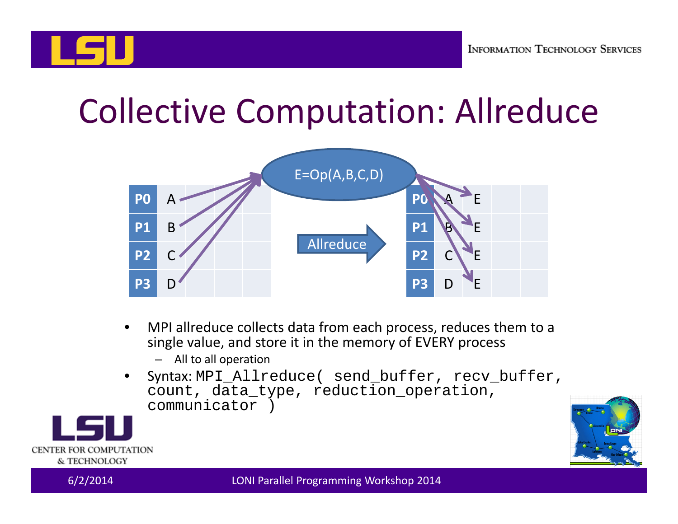#### Collective Computation: Allreduce



- $\bullet$  MPI allreduce collects data from each process, reduces them to <sup>a</sup> single value, and store it in the memory of EVERY process
	- All to all operation
- • Syntax: MPI\_Allreduce( send\_buffer, recv\_buffer, count, data\_type, reduction\_operation, communicator )



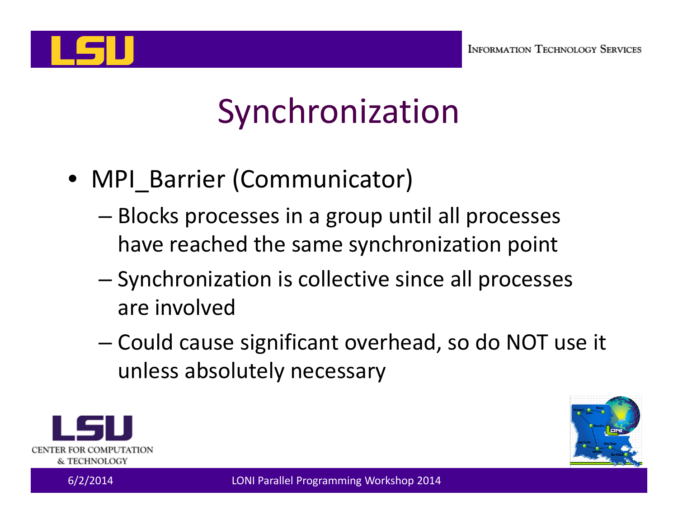

# Synchronization

- MPI\_Barrier (Communicator)
	- – Blocks processes in a group until all processes have reached the same synchronization point
	- – Synchronization is collective since all processes are involved
	- –— Could cause significant overhead, so do NOT use it unless absolutely necessary



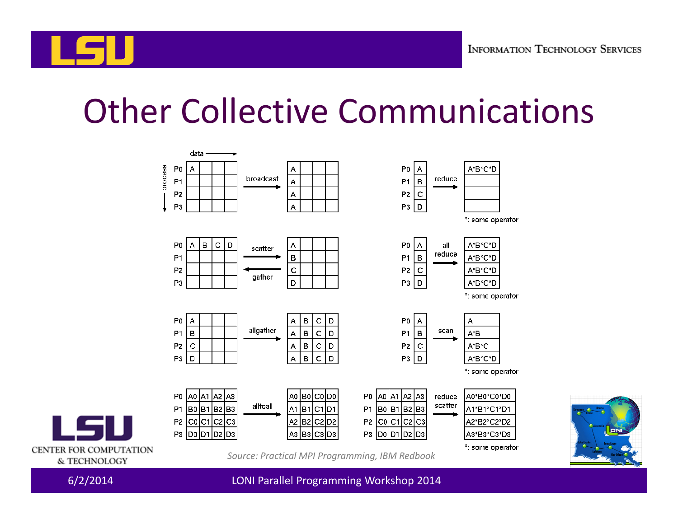

#### Other Collective Communications







*Source: Practical MPI Programming, IBM Redbook*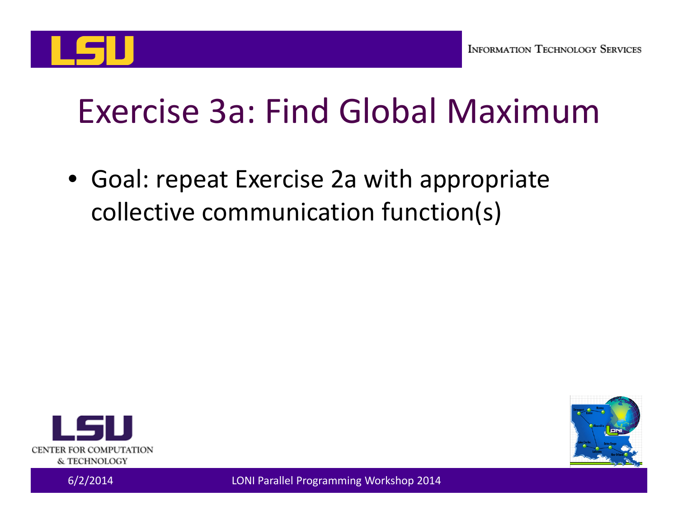

#### Exercise 3a: Find Global Maximum

• Goal: repeat Exercise 2a with appropriate collective communication function(s)



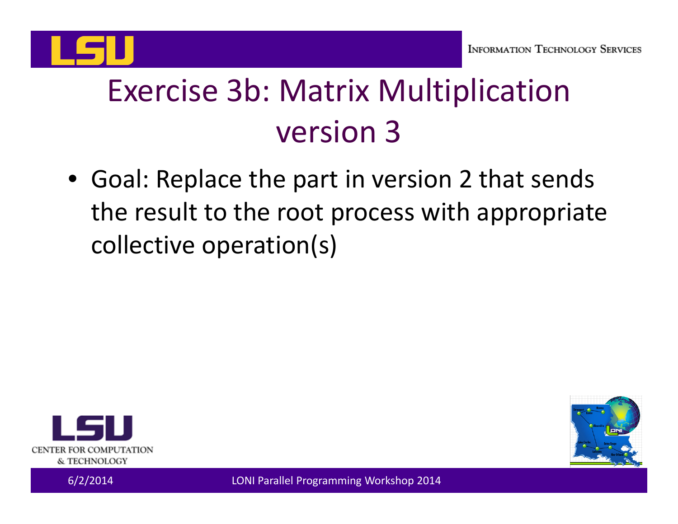

#### Exercise 3b: Matrix Multiplication version 3

• Goal: Replace the part in version 2 that sends the result to the root process with appropriate collective operation(s)



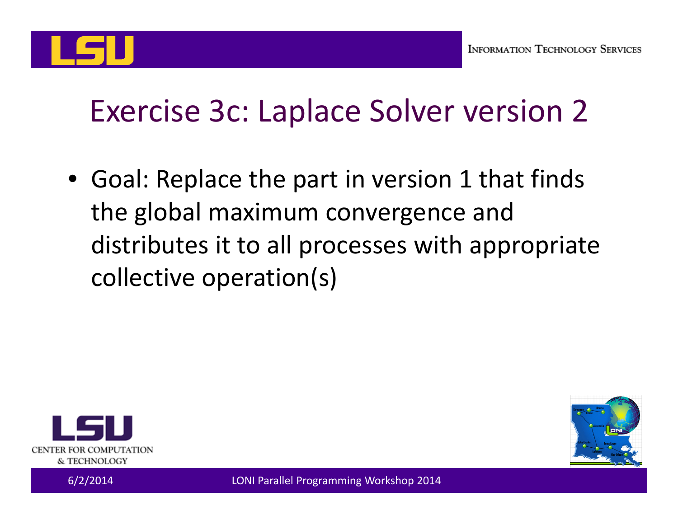

#### Exercise 3c: Laplace Solver version 2

• Goal: Replace the part in version 1 that finds the global maximum convergence and distributes it to all processes with appropriate collective operation(s)



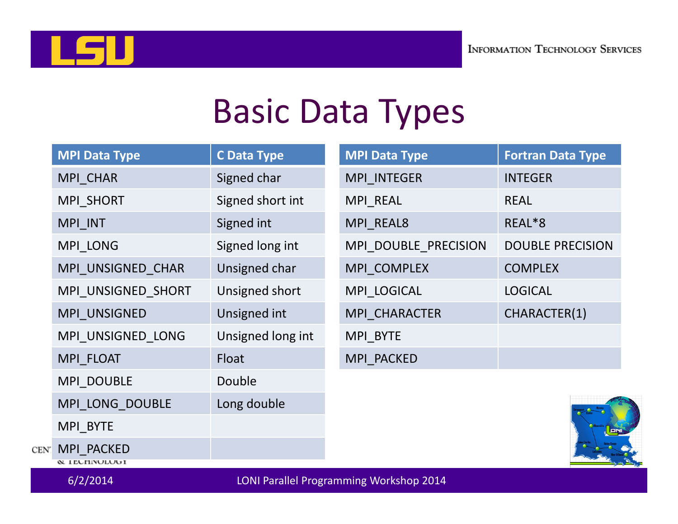

#### Basic Data Types

|      | <b>MPI Data Type</b>                                | <b>C Data Type</b> |  | <b>MPI Data Type</b> | <b>Fortran Data Type</b> |
|------|-----------------------------------------------------|--------------------|--|----------------------|--------------------------|
|      | MPI_CHAR                                            | Signed char        |  | MPI INTEGER          | <b>INTEGER</b>           |
|      | MPI_SHORT                                           | Signed short int   |  | MPI_REAL             | <b>REAL</b>              |
|      | MPI_INT                                             | Signed int         |  | MPI REAL8            | REAL*8                   |
|      | MPI_LONG                                            | Signed long int    |  | MPI DOUBLE PRECISION | <b>DOUBLE PRECISION</b>  |
|      | MPI UNSIGNED CHAR                                   | Unsigned char      |  | MPI_COMPLEX          | <b>COMPLEX</b>           |
|      | MPI UNSIGNED SHORT                                  | Unsigned short     |  | MPI LOGICAL          | <b>LOGICAL</b>           |
|      | MPI UNSIGNED                                        | Unsigned int       |  | MPI CHARACTER        | CHARACTER(1)             |
|      | MPI UNSIGNED LONG                                   | Unsigned long int  |  | MPI BYTE             |                          |
|      | MPI FLOAT                                           | Float              |  | MPI PACKED           |                          |
|      | MPI_DOUBLE                                          | Double             |  |                      |                          |
|      | MPI_LONG_DOUBLE                                     | Long double        |  |                      |                          |
|      | MPI_BYTE                                            |                    |  |                      |                          |
| CEN. | MPI PACKED<br><b>&amp; ILUTINULUUI</b>              |                    |  |                      |                          |
|      | 6/2/2014<br>LONI Parallel Programming Workshop 2014 |                    |  |                      |                          |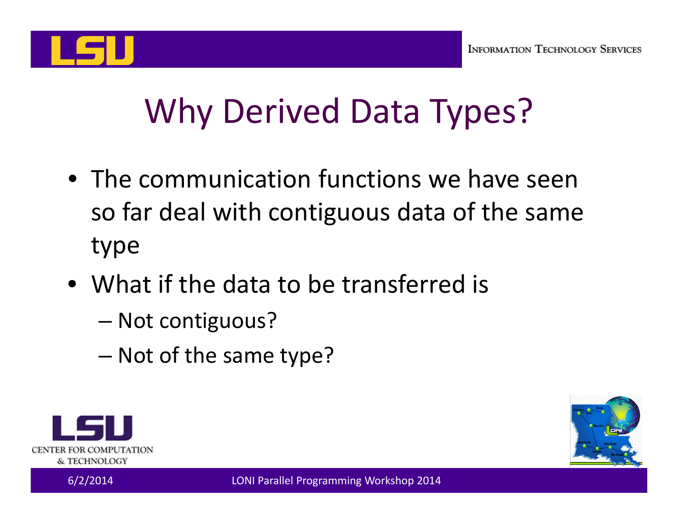

# Why Derived Data Types?

- The communication functions we have seen so far deal with contiguous data of the same type
- What if the data to be transferred is
	- –— Not contiguous?
	- –– Not of the same type?



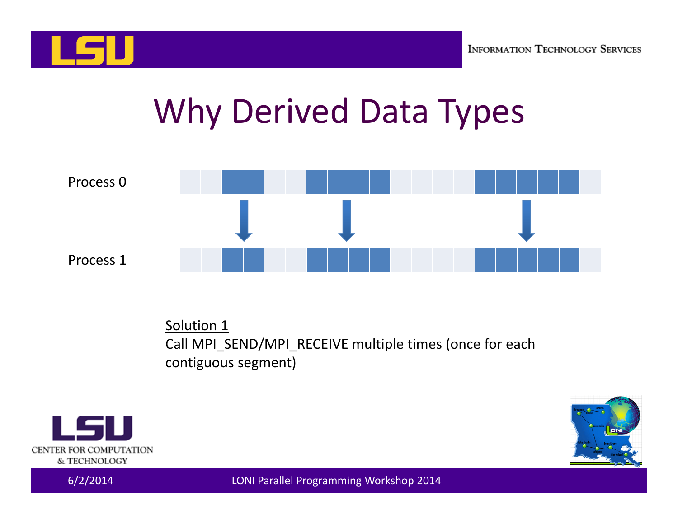

# Why Derived Data Types



Solution 1 Call MPI\_SEND/MPI\_RECEIVE multiple times (once for each contiguous segment)



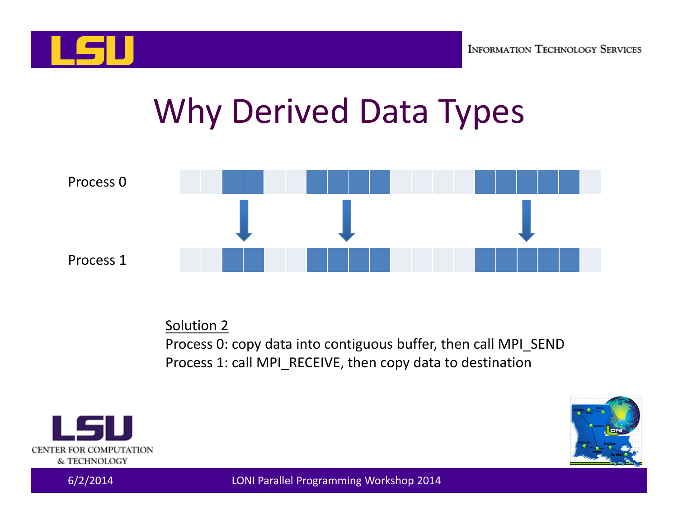

# Why Derived Data Types



Solution 2

Process 0: copy data into contiguous buffer, then call MPI\_SEND Process 1: call MPI\_RECEIVE, then copy data to destination



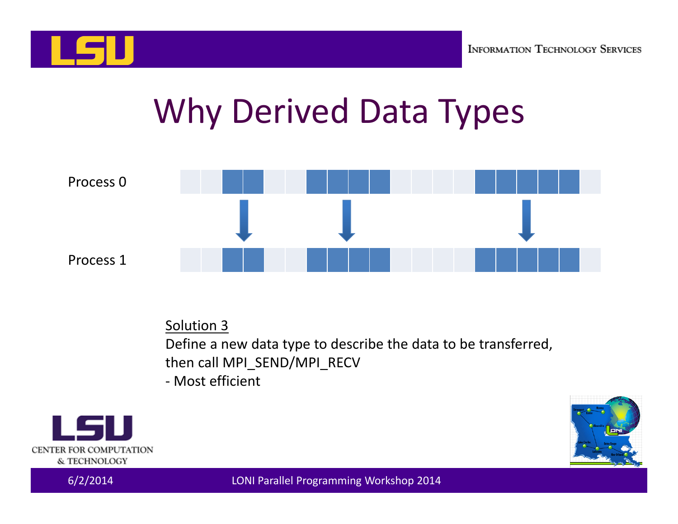

# Why Derived Data Types



Solution 3

Define a new data type to describe the data to be transferred, then call MPI\_SEND/MPI\_RECV

‐ Most efficient



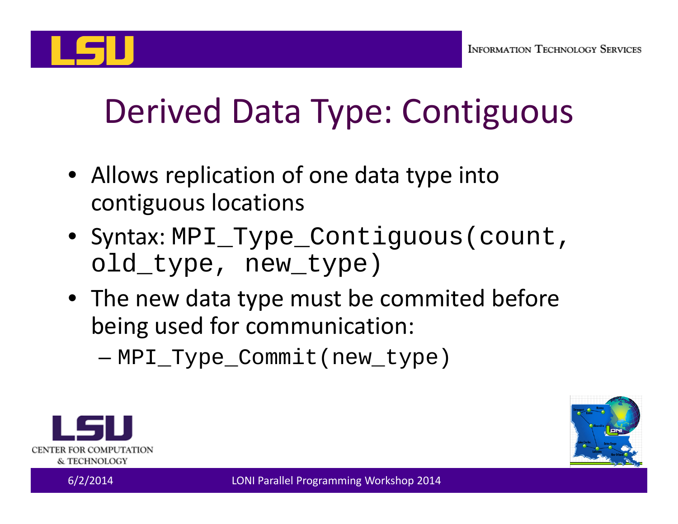

# Derived Data Type: Contiguous

- Allows replication of one data type into contiguous locations
- Syntax: MPI\_Type\_Contiguous(count, old\_type, new\_type)
- The new data type must be commited before being used for communication:

–MPI\_Type\_Commit(new\_type)



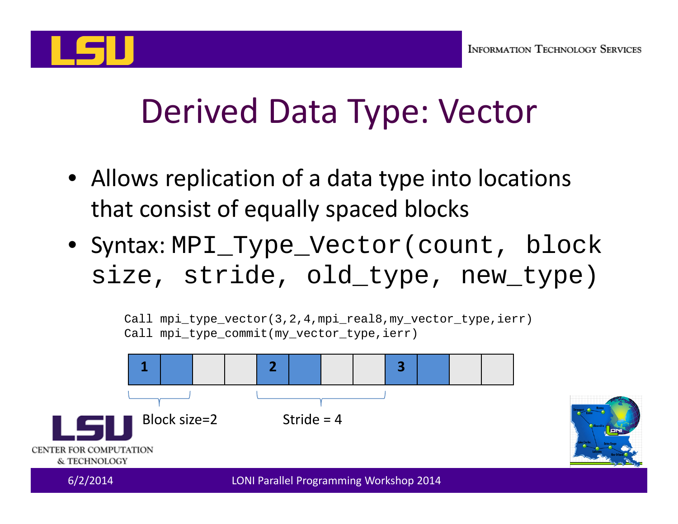

# Derived Data Type: Vector

- Allows replication of <sup>a</sup> data type into locations that consist of equally spaced blocks
- Syntax: MPI\_Type\_Vector(count, block size, stride, old\_type, new\_type)

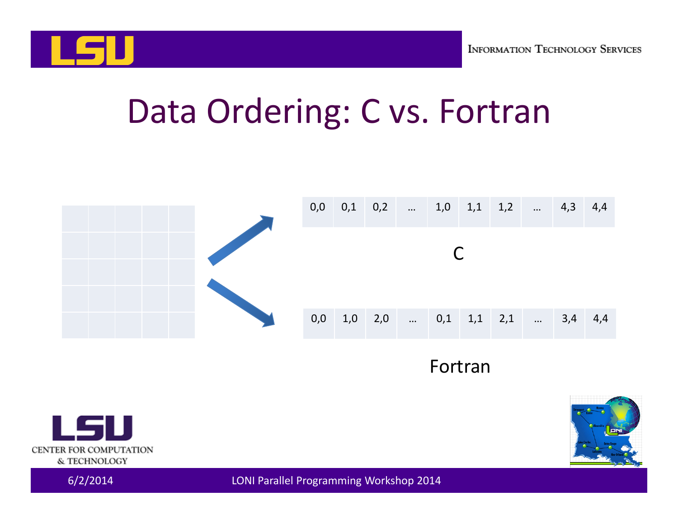

#### Data Ordering: C vs. Fortran



#### Fortran



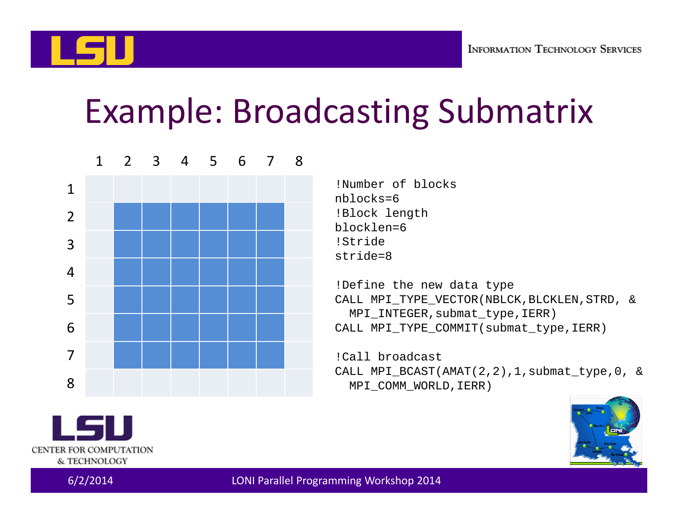

#### Example: Broadcasting Submatrix



!Number of blocksnblocks=6!Block length blocklen=6!Stridestride=8

!Define the new data type CALL MPI TYPE VECTOR(NBLCK, BLCKLEN, STRD, & MPI\_INTEGER,submat\_type,IERR) CALL MPI TYPE COMMIT(submat type, IERR)

!Call broadcastCALL MPI\_BCAST(AMAT(2,2),1,submat\_type,0, & MPI\_COMM\_WORLD,IERR)



CENTER FOR COMPUTATION & TECHNOLOGY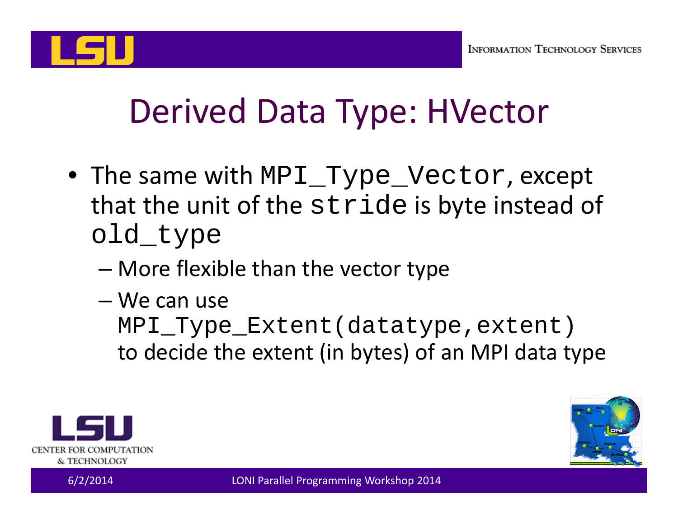

# Derived Data Type: HVector

- The same with MPI\_Type\_Vector, except that the unit of the stride is byte instead of old\_type
	- –More flexible than the vector type
	- We can use

MPI\_Type\_Extent(datatype,extent) to decide the extent (in bytes) of an MPI data type



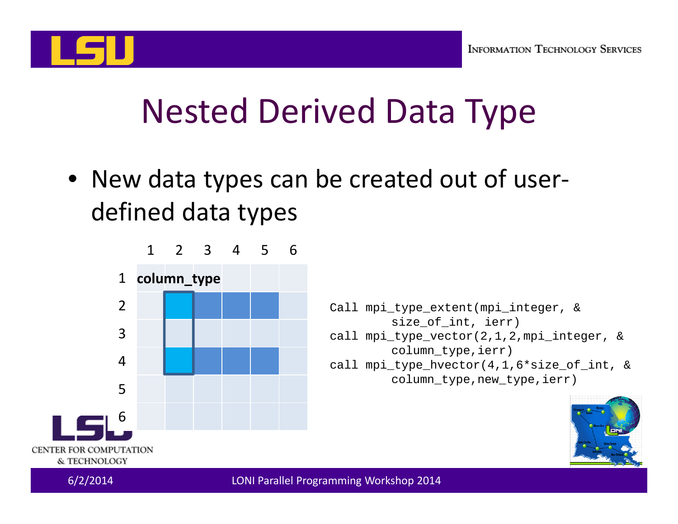

#### Nested Derived Data Type

• New data types can be created out of user‐ defined data types

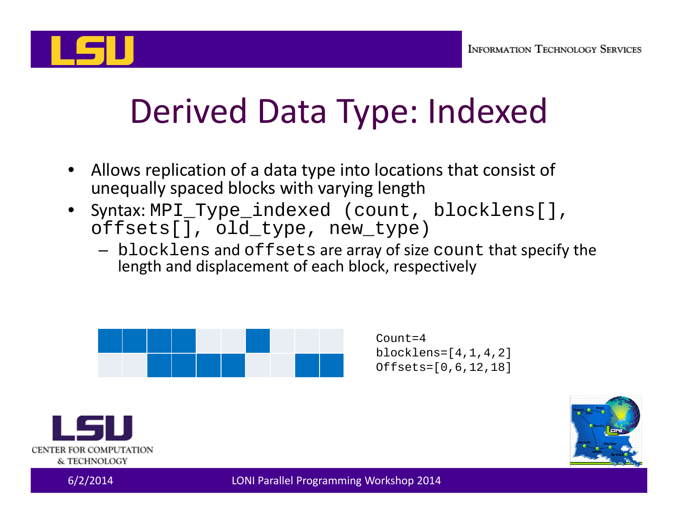

# Derived Data Type: Indexed

- • Allows replication of <sup>a</sup> data type into locations that consist of unequally spaced blocks with varying length
- • Syntax: MPI\_Type\_indexed (count, blocklens[], offsets[], old\_type, new\_type)
	- $-$  <code>blocklens</code> and <code>offsets</code> are array of size <code>count</code> that specify the length and displacement of each block, respectively



 $Count=4$ blocklens=[4,1,4,2] Offsets=[0,6,12,18]



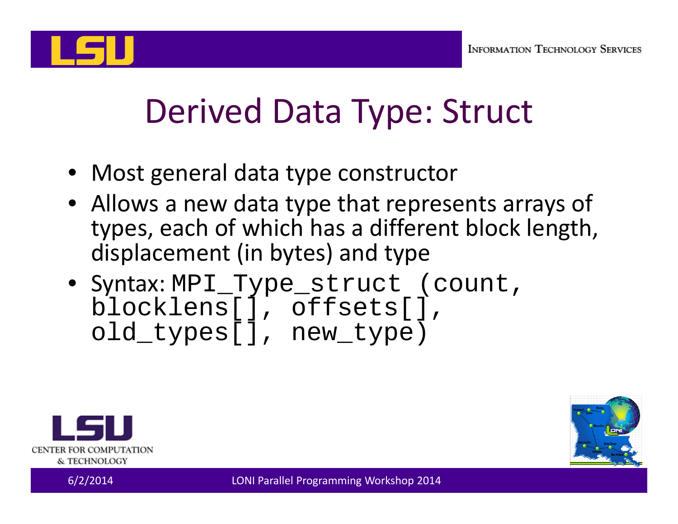

# Derived Data Type: Struct

- Most general data type constructor
- Allows a new data type that represents arrays of types, each of which has <sup>a</sup> different block length, displacement (in bytes) and type
- Syntax: MPI\_Type\_struct (count, blocklens[], offsets[], old\_types[], new\_type)



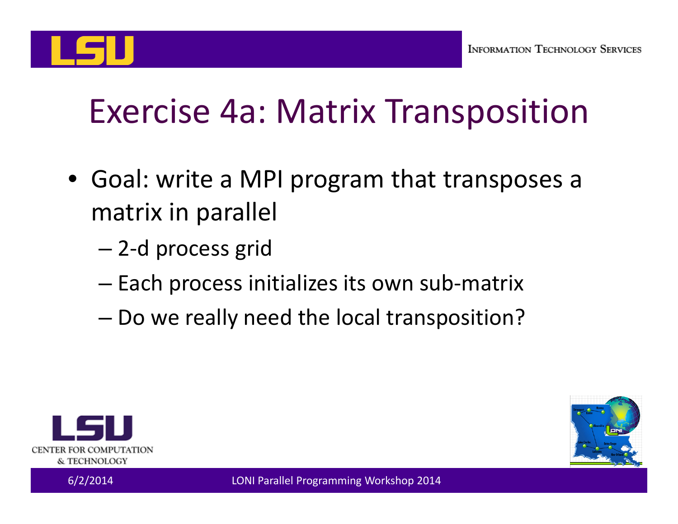

# Exercise 4a: Matrix Transposition

- Goal: write <sup>a</sup> MPI program that transposes <sup>a</sup> matrix in parallel
	- –2‐d process grid
	- –Each process initializes its own sub‐matrix
	- –Do we really need the local transposition?



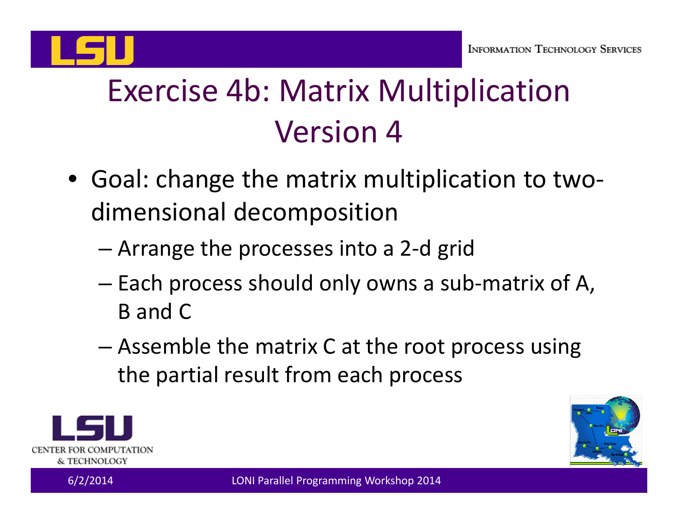

#### Exercise 4b: Matrix Multiplication Version 4

- Goal: change the matrix multiplication to two‐ dimensional decomposition
	- –Arrange the processes into <sup>a</sup> 2‐d grid
	- – Each process should only owns <sup>a</sup> sub‐matrix of A, B and C
	- Assemble the matrix C at the root process using the partial result from each process